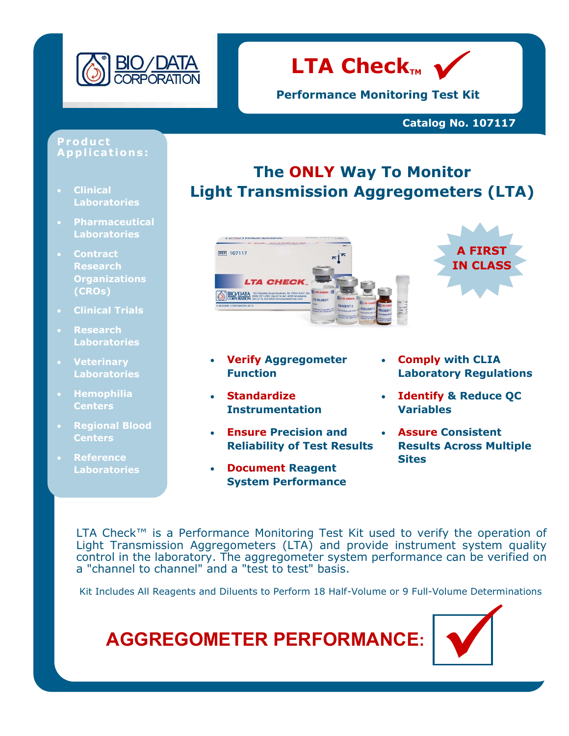



**Performance Monitoring Test Kit**

### **Catalog No. 107117**

#### **Product App l i c a t io n s :**

- **Clinical Laboratories**
- **Pharmaceutical Laboratories**
- **Contract Research Organizations (CROs)**
- **Clinical Trials**
- **Research Laboratories**
- **Veterinary Laboratories**
- **Hemophilia Centers**
- **Regional Blood Centers**
- **Reference Laboratories**

## **The ONLY Way To Monitor Light Transmission Aggregometers (LTA)**



- **Verify Aggregometer Function**
- **Standardize Instrumentation**
- **Ensure Precision and Reliability of Test Results**
- **Document Reagent System Performance**

• **Comply with CLIA Laboratory Regulations**

**A FIRST IN CLASS**

- **Identify & Reduce QC Variables**
- **Assure Consistent Results Across Multiple Sites**

LTA Check™ is a Performance Monitoring Test Kit used to verify the operation of Light Transmission Aggregometers (LTA) and provide instrument system quality control in the laboratory. The aggregometer system performance can be verified on a "channel to channel" and a "test to test" basis.

Kit Includes All Reagents and Diluents to Perform 18 Half-Volume or 9 Full-Volume Determinations